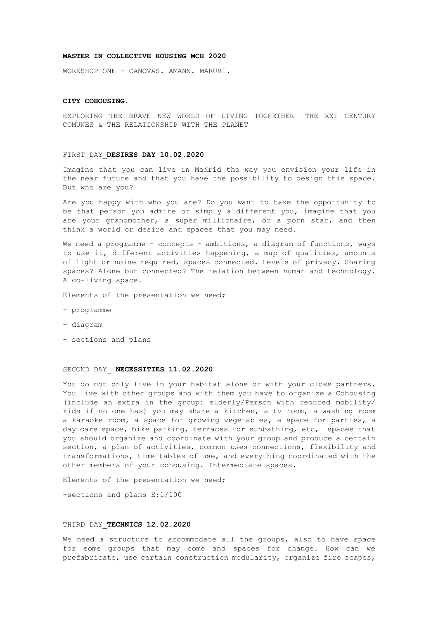## **MASTER IN COLLECTIVE HOUSING MCH 2020**

WORKSHOP ONE – CANOVAS. AMANN. MARURI.

#### **CITY COHOUSING.**

EXPLORING THE BRAVE NEW WORLD OF LIVING TOGHETHER THE XXI CENTURY COMUNES & THE RELATIONSHIP WITH THE PLANET

#### FIRST DAY\_**DESIRES DAY 10.02.2020**

Imagine that you can live in Madrid the way you envision your life in the near future and that you have the possibility to design this space. But who are you?

Are you happy with who you are? Do you want to take the opportunity to be that person you admire or simply a different you, imagine that you are your grandmother, a super millionaire, or a porn star, and then think a world or desire and spaces that you may need.

We need a programme - concepts - ambitions, a diagram of functions, ways to use it, different activities happening, a map of qualities, amounts of light or noise required, spaces connected. Levels of privacy. Sharing spaces? Alone but connected? The relation between human and technology. A co-living space.

Elements of the presentation we need;

- programme
- diagram
- sections and plans

#### SECOND DAY\_ **NECESSITIES 11.02.2020**

You do not only live in your habitat alone or with your close partners. You live with other groups and with them you have to organize a Cohousing (include an extra in the group: elderly/Person with reduced mobility/ kids if no one has) you may share a kitchen, a tv room, a washing room a karaoke room, a space for growing vegetables, a space for parties, a day care space, bike parking, terraces for sunbathing, etc, spaces that you should organize and coordinate with your group and produce a certain section, a plan of activities, common uses connections, flexibility and transformations, time tables of use, and everything coordinated with the other members of your cohousing. Intermediate spaces.

Elements of the presentation we need;

-sections and plans E:1/100

## THIRD DAY\_**TECHNICS 12.02.2020**

We need a structure to accommodate all the groups, also to have space for some groups that may come and spaces for change. How can we prefabricate, use certain construction modularity, organize fire scapes,